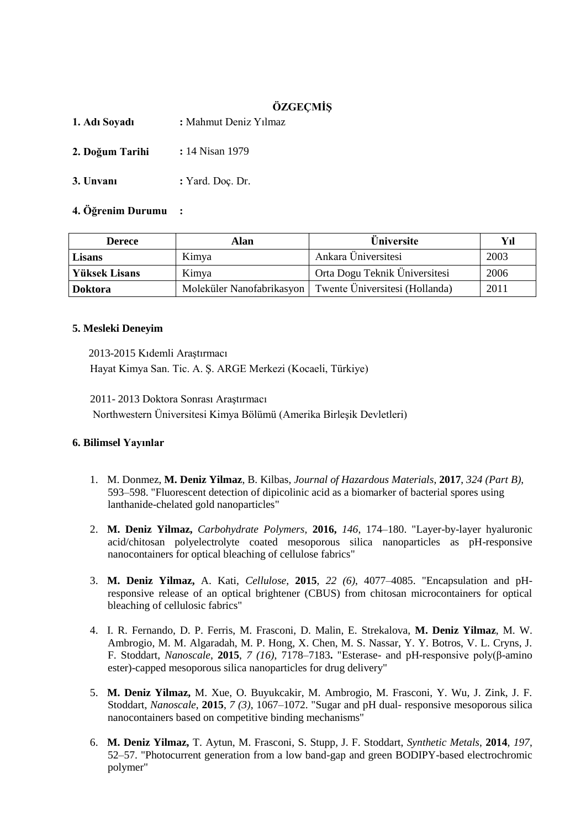# **ÖZGEÇMİŞ**

**1. Adı Soyadı :** Mahmut Deniz Yılmaz

- **2. Doğum Tarihi :** 14 Nisan 1979
- **3. Unvanı :** Yard. Doç. Dr.

# **4. Öğrenim Durumu :**

| <b>Derece</b>  | Alan  | Üniversite                                                 | Yıl  |
|----------------|-------|------------------------------------------------------------|------|
| Lisans         | Kimya | Ankara Üniversitesi                                        | 2003 |
| Yüksek Lisans  | Kimya | Orta Dogu Teknik Üniversitesi                              | 2006 |
| <b>Doktora</b> |       | Moleküler Nanofabrikasyon   Twente Üniversitesi (Hollanda) | 2011 |

### **5. Mesleki Deneyim**

 2013-2015 Kıdemli Araştırmacı Hayat Kimya San. Tic. A. Ş. ARGE Merkezi (Kocaeli, Türkiye)

2011- 2013 Doktora Sonrası Araştırmacı Northwestern Üniversitesi Kimya Bölümü (Amerika Birleşik Devletleri)

# **6. Bilimsel Yayınlar**

- 1. M. Donmez, **M. Deniz Yilmaz**, B. Kilbas, *Journal of Hazardous Materials*, **2017**, *324 (Part B)*, 593–598. "Fluorescent detection of dipicolinic acid as a biomarker of bacterial spores using lanthanide-chelated gold nanoparticles"
- 2. **M. Deniz Yilmaz,** *Carbohydrate Polymers,* **2016,** *146*, 174–180. "Layer-by-layer hyaluronic acid/chitosan polyelectrolyte coated mesoporous silica nanoparticles as pH-responsive nanocontainers for optical bleaching of cellulose fabrics"
- 3. **M. Deniz Yilmaz,** A. Kati, *Cellulose*, **2015**, *22 (6)*, 4077–4085. "Encapsulation and pHresponsive release of an optical brightener (CBUS) from chitosan microcontainers for optical bleaching of cellulosic fabrics"
- 4. I. R. Fernando, D. P. Ferris, M. Frasconi, D. Malin, E. Strekalova, **M. Deniz Yilmaz**, M. W. Ambrogio, M. M. Algaradah, M. P. Hong, X. Chen, M. S. Nassar, Y. Y. Botros, V. L. Cryns, J. F. Stoddart, *Nanoscale*, **2015**, *7 (16)*, 7178–7183**.** "Esterase- and pH-responsive poly(β-amino ester)-capped mesoporous silica nanoparticles for drug delivery"
- 5. **M. Deniz Yilmaz,** M. Xue, O. Buyukcakir, M. Ambrogio, M. Frasconi, Y. Wu, J. Zink, J. F. Stoddart, *Nanoscale*, **2015**, *7 (3)*, 1067–1072. "Sugar and pH dual- responsive mesoporous silica nanocontainers based on competitive binding mechanisms"
- 6. **M. Deniz Yilmaz,** T. Aytun, M. Frasconi, S. Stupp, J. F. Stoddart, *Synthetic Metals*, **2014**, *197*, 52–57. "Photocurrent generation from a low band-gap and green BODIPY-based electrochromic polymer"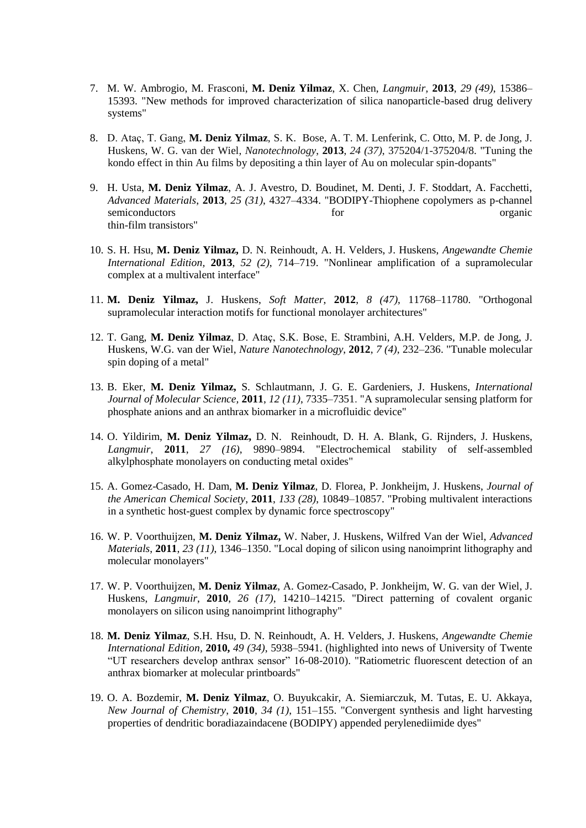- 7. M. W. Ambrogio, M. Frasconi, **M. Deniz Yilmaz**, X. Chen, *Langmuir,* **2013**, *29 (49)*, 15386– 15393. "New methods for improved characterization of silica nanoparticle-based drug delivery systems"
- 8. D. Ataç, T. Gang, **M. Deniz Yilmaz**, S. K. Bose, A. T. M. Lenferink, C. Otto, M. P. de Jong, J. Huskens, W. G. van der Wiel, *Nanotechnology*, **2013**, *24 (37)*, 375204/1-375204/8. "Tuning the kondo effect in thin Au films by depositing a thin layer of Au on molecular spin-dopants"
- 9. H. Usta, **M. Deniz Yilmaz**, A. J. Avestro, D. Boudinet, M. Denti, J. F. Stoddart, A. Facchetti, *Advanced Materials*, **2013**, *25 (31)*, 4327–4334. "BODIPY-Thiophene copolymers as p-channel semiconductors for the organic contractors organic contractors organic contractors organic contractors organic thin-film transistors"
- 10. S. H. Hsu, **M. Deniz Yilmaz,** D. N. Reinhoudt, A. H. Velders, J. Huskens, *Angewandte Chemie International Edition,* **2013**, *52 (2)*, 714–719. "Nonlinear amplification of a supramolecular complex at a multivalent interface"
- 11. **M. Deniz Yilmaz,** J. Huskens, *Soft Matter*, **2012**, *8 (47)*, 11768–11780. "Orthogonal supramolecular interaction motifs for functional monolayer architectures"
- 12. T. Gang, **M. Deniz Yilmaz**, D. Ataç, S.K. Bose, E. Strambini, A.H. Velders, M.P. de Jong, J. Huskens, W.G. van der Wiel, *Nature Nanotechnology*, **2012**, *7 (4)*, 232–236. "Tunable molecular spin doping of a metal"
- 13. B. [Eker,](http://apps.webofknowledge.com/OneClickSearch.do?product=WOS&search_mode=OneClickSearch&colName=WOS&SID=3AC7cMPe8e5HLKOnL7d&field=AU&value=Eker,%20B) **M. Deniz [Yilmaz,](http://apps.webofknowledge.com/OneClickSearch.do?product=WOS&search_mode=OneClickSearch&colName=WOS&SID=3AC7cMPe8e5HLKOnL7d&field=AU&value=Yilmaz,%20MD)** S. [Schlautmann,](http://apps.webofknowledge.com/OneClickSearch.do?product=WOS&search_mode=OneClickSearch&colName=WOS&SID=3AC7cMPe8e5HLKOnL7d&field=AU&value=Schlautmann,%20S) J. G. E. [Gardeniers,](http://apps.webofknowledge.com/OneClickSearch.do?product=WOS&search_mode=OneClickSearch&colName=WOS&SID=3AC7cMPe8e5HLKOnL7d&field=AU&value=Gardeniers,%20JGE) J. [Huskens,](http://apps.webofknowledge.com/OneClickSearch.do?product=WOS&search_mode=OneClickSearch&colName=WOS&SID=3AC7cMPe8e5HLKOnL7d&field=AU&value=Huskens,%20J) *International Journal of Molecular Science,* **2011**, *12 (11)*, 7335–7351. ["A supramolecular sensing platform for](javascript:openGatewayLink()  [phosphate anions and an anthrax biomarker in a microfluidic device"](javascript:openGatewayLink()
- 14. O. [Yildirim,](http://apps.webofknowledge.com/OneClickSearch.do?product=WOS&search_mode=OneClickSearch&colName=WOS&SID=3AC7cMPe8e5HLKOnL7d&field=AU&value=Yildirim,%20O) **M. Deniz [Yilmaz,](http://apps.webofknowledge.com/OneClickSearch.do?product=WOS&search_mode=OneClickSearch&colName=WOS&SID=3AC7cMPe8e5HLKOnL7d&field=AU&value=Yilmaz,%20MD)** D. N. [Reinhoudt,](http://apps.webofknowledge.com/OneClickSearch.do?product=WOS&search_mode=OneClickSearch&colName=WOS&SID=3AC7cMPe8e5HLKOnL7d&field=AU&value=Reinhoudt,%20DN&cacheurlFromRightClick=no) D. H. A. [Blank,](http://apps.webofknowledge.com/OneClickSearch.do?product=WOS&search_mode=OneClickSearch&colName=WOS&SID=3AC7cMPe8e5HLKOnL7d&field=AU&value=Blank,%20DHA) G. [Rijnders,](http://apps.webofknowledge.com/OneClickSearch.do?product=WOS&search_mode=OneClickSearch&colName=WOS&SID=3AC7cMPe8e5HLKOnL7d&field=AU&value=Rijnders,%20G) J. [Huskens,](http://apps.webofknowledge.com/OneClickSearch.do?product=WOS&search_mode=OneClickSearch&colName=WOS&SID=3AC7cMPe8e5HLKOnL7d&field=AU&value=Huskens,%20J) *Langmuir*, **2011**, *27 (16)*, 9890–9894. ["Electrochemical stability of self-assembled](javascript:openGatewayLink()  [alkylphosphate monolayers on conducting metal oxides"](javascript:openGatewayLink()
- 15. A. [Gomez-Casado,](http://apps.webofknowledge.com/DaisyOneClickSearch.do?product=WOS&search_mode=DaisyOneClickSearch&colName=WOS&SID=3AC7cMPe8e5HLKOnL7d&author_name=Gomez-Casado,%20A&dais_id=16088033) H. [Dam,](http://apps.webofknowledge.com/OneClickSearch.do?product=WOS&search_mode=OneClickSearch&colName=WOS&SID=3AC7cMPe8e5HLKOnL7d&field=AU&value=Dam,%20HH) **M. Deniz Yilmaz**, D. Florea, P. [Jonkheijm,](http://apps.webofknowledge.com/OneClickSearch.do?product=WOS&search_mode=OneClickSearch&colName=WOS&SID=3AC7cMPe8e5HLKOnL7d&field=AU&value=Jonkheijm,%20P) J. [Huskens,](http://apps.webofknowledge.com/DaisyOneClickSearch.do?product=WOS&search_mode=DaisyOneClickSearch&colName=WOS&SID=3AC7cMPe8e5HLKOnL7d&author_name=Huskens,%20J&dais_id=12051229) *Journal of the American Chemical Society*, **2011**, *133 (28)*, 10849–10857. "Probing multivalent interactions in a synthetic host-guest complex by dynamic force spectroscopy"
- 16. W. P. Voorthuijzen, **M. Deniz Yilmaz,** W. Naber, J. Huskens, Wilfred Van der Wiel, *Advanced Materials*, **2011**, *23 (11)*, 1346–1350. "Local doping of silicon using nanoimprint lithography and molecular monolayers"
- 17. W. P. Voorthuijzen, **M. Deniz Yilmaz**, A. Gomez-Casado, P. Jonkheijm, W. G. van der Wiel, J. Huskens, *Langmuir*, **2010**, *26 (17)*, 14210–14215. "Direct patterning of covalent organic monolayers on silicon using nanoimprint lithography"
- 18. **M. Deniz Yilmaz**, S.H. Hsu, D. N. Reinhoudt, A. H. Velders, J. Huskens, *Angewandte Chemie International Edition,* **2010,** *49 (34)*, 5938–5941. (highlighted into news of University of Twente "UT researchers develop anthrax sensor" 16-08-2010). "Ratiometric fluorescent detection of an anthrax biomarker at molecular printboards"
- 19. O. A. Bozdemir, **M. Deniz Yilmaz**, O. Buyukcakir, A. Siemiarczuk, M. Tutas, E. U. Akkaya, *New Journal of Chemistry*, **2010**, *34 (1)*, 151–155. "Convergent synthesis and light harvesting properties of dendritic boradiazaindacene (BODIPY) appended perylenediimide dyes"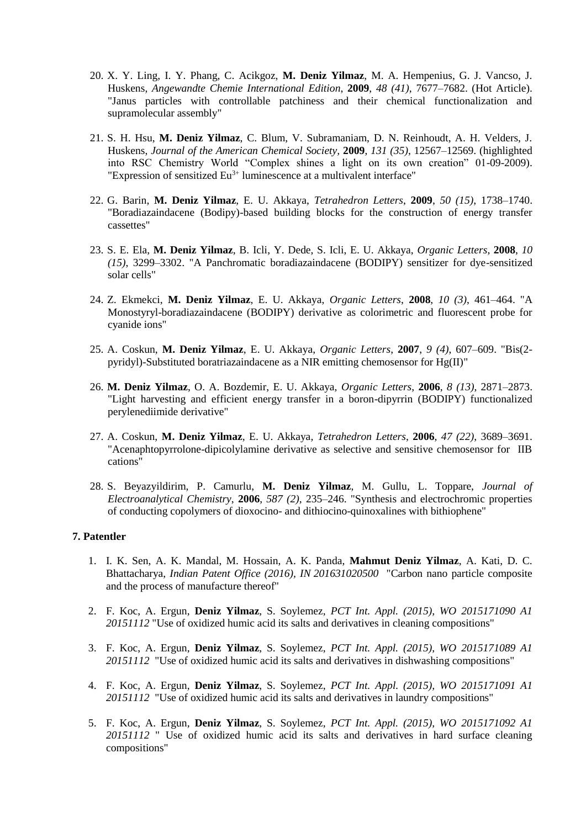- 20. X. Y. Ling, I. Y. Phang, C. Acikgoz, **M. Deniz Yilmaz**, M. A. Hempenius, G. J. Vancso, J. Huskens, *Angewandte Chemie International Edition*, **2009**, *48 (41)*, 7677–7682. (Hot Article). "Janus particles with controllable patchiness and their chemical functionalization and supramolecular assembly"
- 21. S. H. Hsu, **M. Deniz Yilmaz**, C. Blum, V. Subramaniam, D. N. Reinhoudt, A. H. Velders, J. Huskens, *Journal of the American Chemical Society,* **2009**, *131 (35)*, 12567–12569. (highlighted into RSC Chemistry World "Complex shines a light on its own creation" 01-09-2009). "Expression of sensitized  $Eu^{3+}$  luminescence at a multivalent interface"
- 22. G. Barin, **M. Deniz Yilmaz**, E. U. Akkaya, *Tetrahedron Letters*, **2009**, *50 (15)*, 1738–1740. "Boradiazaindacene (Bodipy)-based building blocks for the construction of energy transfer cassettes"
- 23. S. E. Ela, **M. Deniz Yilmaz**, B. Icli, Y. Dede, S. Icli, E. U. Akkaya, *Organic Letters*, **2008**, *10 (15)*, 3299–3302. "A Panchromatic boradiazaindacene (BODIPY) sensitizer for dye-sensitized solar cells"
- 24. Z. Ekmekci, **M. Deniz Yilmaz**, E. U. Akkaya, *Organic Letters*, **2008**, *10 (3)*, 461–464. "A Monostyryl-boradiazaindacene (BODIPY) derivative as colorimetric and fluorescent probe for cyanide ions"
- 25. A. Coskun, **M. Deniz Yilmaz**, E. U. Akkaya, *Organic Letters*, **2007**, *9 (4)*, 607–609. "Bis(2 pyridyl)-Substituted boratriazaindacene as a NIR emitting chemosensor for Hg(II)"
- 26. **M. Deniz Yilmaz**, O. A. Bozdemir, E. U. Akkaya, *Organic Letters*, **2006**, *8 (13)*, 2871–2873. "Light harvesting and efficient energy transfer in a boron-dipyrrin (BODIPY) functionalized perylenediimide derivative"
- 27. A. Coskun, **M. Deniz Yilmaz**, E. U. Akkaya*, Tetrahedron Letters*, **2006**, *47 (22)*, 3689–3691. "Acenaphtopyrrolone-dipicolylamine derivative as selective and sensitive chemosensor for IIB cations"
- 28. S. Beyazyildirim, P. Camurlu, **M. Deniz Yilmaz**, M. Gullu, L. Toppare, *Journal of Electroanalytical Chemistry*, **2006**, *587 (2)*, 235–246. "Synthesis and electrochromic properties of conducting copolymers of dioxocino- and dithiocino-quinoxalines with bithiophene"

# **7. Patentler**

- 1. I. K. Sen, A. K. Mandal, M. Hossain, A. K. Panda, **Mahmut Deniz Yilmaz**, A. Kati, D. C. Bhattacharya, *Indian Patent Office (2016), IN 201631020500* "Carbon nano particle composite and the process of manufacture thereof"
- 2. F. Koc, A. Ergun, **Deniz Yilmaz**, S. Soylemez, *PCT Int. Appl. (2015), WO 2015171090 A1 20151112* "Use of oxidized humic acid its salts and derivatives in cleaning compositions"
- 3. F. Koc, A. Ergun, **Deniz Yilmaz**, S. Soylemez, *PCT Int. Appl. (2015), WO 2015171089 A1 20151112* "Use of oxidized humic acid its salts and derivatives in dishwashing compositions"
- 4. F. Koc, A. Ergun, **Deniz Yilmaz**, S. Soylemez, *PCT Int. Appl. (2015), WO 2015171091 A1 20151112* "Use of oxidized humic acid its salts and derivatives in laundry compositions"
- 5. F. Koc, A. Ergun, **Deniz Yilmaz**, S. Soylemez, *PCT Int. Appl. (2015), WO 2015171092 A1 20151112* " Use of oxidized humic acid its salts and derivatives in hard surface cleaning compositions"